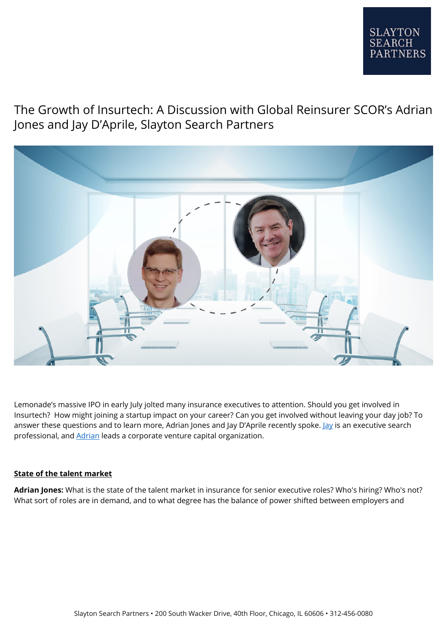

# The Growth of Insurtech: A Discussion with Global Reinsurer SCOR's Adrian Jones and Jay D'Aprile, Slayton Search Partners



Lemonade's massive IPO in early July jolted many insurance executives to attention. Should you get involved in Insurtech? How might joining a startup impact on your career? Can you get involved without leaving your day job? To answer these questions and to learn more, Adrian Jones and [Jay](https://www.linkedin.com/in/jaydaprile/) D'Aprile recently spoke. Jay is an executive search professional, and **Adrian** leads a corporate venture capital organization.

#### **State of the talent market**

**Adrian Jones:** What is the state of the talent market in insurance for senior executive roles? Who's hiring? Who's not? What sort of roles are in demand, and to what degree has the balance of power shifted between employers and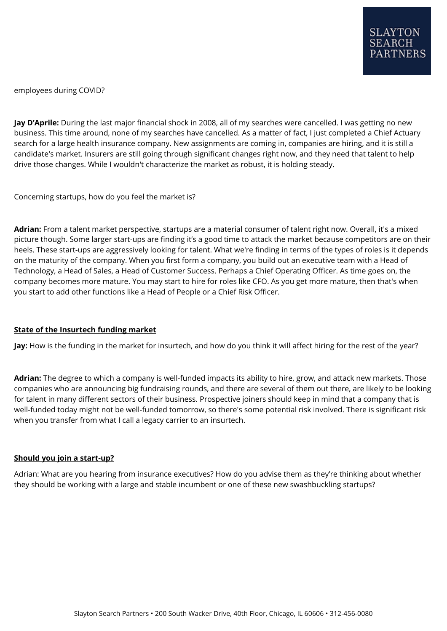employees during COVID?

**Jay D'Aprile:** During the last major financial shock in 2008, all of my searches were cancelled. I was getting no new business. This time around, none of my searches have cancelled. As a matter of fact, I just completed a Chief Actuary search for a large health insurance company. New assignments are coming in, companies are hiring, and it is still a candidate's market. Insurers are still going through significant changes right now, and they need that talent to help drive those changes. While I wouldn't characterize the market as robust, it is holding steady.

Concerning startups, how do you feel the market is?

**Adrian:** From a talent market perspective, startups are a material consumer of talent right now. Overall, it's a mixed picture though. Some larger start-ups are finding it's a good time to attack the market because competitors are on their heels. These start-ups are aggressively looking for talent. What we're finding in terms of the types of roles is it depends on the maturity of the company. When you first form a company, you build out an executive team with a Head of Technology, a Head of Sales, a Head of Customer Success. Perhaps a Chief Operating Officer. As time goes on, the company becomes more mature. You may start to hire for roles like CFO. As you get more mature, then that's when you start to add other functions like a Head of People or a Chief Risk Officer.

#### **State of the Insurtech funding market**

**Jay:** How is the funding in the market for insurtech, and how do you think it will affect hiring for the rest of the year?

**Adrian:** The degree to which a company is well-funded impacts its ability to hire, grow, and attack new markets. Those companies who are announcing big fundraising rounds, and there are several of them out there, are likely to be looking for talent in many different sectors of their business. Prospective joiners should keep in mind that a company that is well-funded today might not be well-funded tomorrow, so there's some potential risk involved. There is significant risk when you transfer from what I call a legacy carrier to an insurtech.

#### **Should you join a start-up?**

Adrian: What are you hearing from insurance executives? How do you advise them as they're thinking about whether they should be working with a large and stable incumbent or one of these new swashbuckling startups?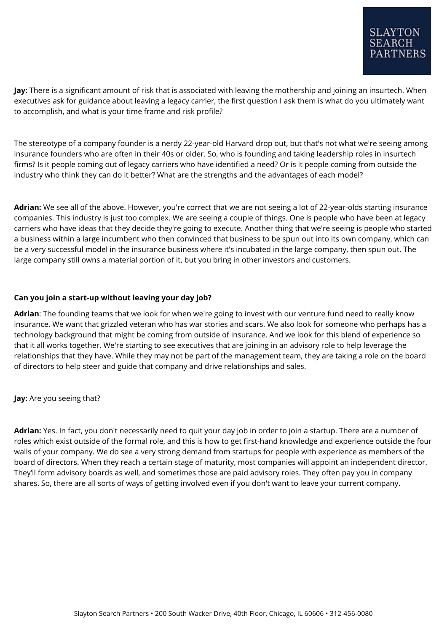**Jay:** There is a significant amount of risk that is associated with leaving the mothership and joining an insurtech. When executives ask for guidance about leaving a legacy carrier, the first question I ask them is what do you ultimately want to accomplish, and what is your time frame and risk profile?

The stereotype of a company founder is a nerdy 22-year-old Harvard drop out, but that's not what we're seeing among insurance founders who are often in their 40s or older. So, who is founding and taking leadership roles in insurtech firms? Is it people coming out of legacy carriers who have identified a need? Or is it people coming from outside the industry who think they can do it better? What are the strengths and the advantages of each model?

**Adrian:** We see all of the above. However, you're correct that we are not seeing a lot of 22-year-olds starting insurance companies. This industry is just too complex. We are seeing a couple of things. One is people who have been at legacy carriers who have ideas that they decide they're going to execute. Another thing that we're seeing is people who started a business within a large incumbent who then convinced that business to be spun out into its own company, which can be a very successful model in the insurance business where it's incubated in the large company, then spun out. The large company still owns a material portion of it, but you bring in other investors and customers.

# **Can you join a start-up without leaving your day job?**

**Adrian**: The founding teams that we look for when we're going to invest with our venture fund need to really know insurance. We want that grizzled veteran who has war stories and scars. We also look for someone who perhaps has a technology background that might be coming from outside of insurance. And we look for this blend of experience so that it all works together. We're starting to see executives that are joining in an advisory role to help leverage the relationships that they have. While they may not be part of the management team, they are taking a role on the board of directors to help steer and guide that company and drive relationships and sales.

**Jay:** Are you seeing that?

**Adrian:** Yes. In fact, you don't necessarily need to quit your day job in order to join a startup. There are a number of roles which exist outside of the formal role, and this is how to get first-hand knowledge and experience outside the four walls of your company. We do see a very strong demand from startups for people with experience as members of the board of directors. When they reach a certain stage of maturity, most companies will appoint an independent director. They'll form advisory boards as well, and sometimes those are paid advisory roles. They often pay you in company shares. So, there are all sorts of ways of getting involved even if you don't want to leave your current company.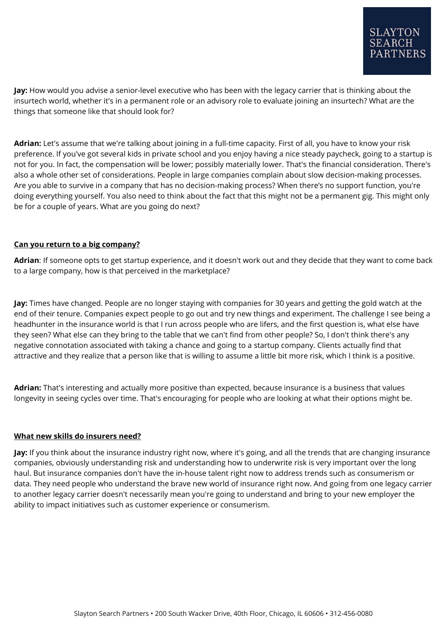**Jay:** How would you advise a senior-level executive who has been with the legacy carrier that is thinking about the insurtech world, whether it's in a permanent role or an advisory role to evaluate joining an insurtech? What are the things that someone like that should look for?

**Adrian:** Let's assume that we're talking about joining in a full-time capacity. First of all, you have to know your risk preference. If you've got several kids in private school and you enjoy having a nice steady paycheck, going to a startup is not for you. In fact, the compensation will be lower; possibly materially lower. That's the financial consideration. There's also a whole other set of considerations. People in large companies complain about slow decision-making processes. Are you able to survive in a company that has no decision-making process? When there's no support function, you're doing everything yourself. You also need to think about the fact that this might not be a permanent gig. This might only be for a couple of years. What are you going do next?

# **Can you return to a big company?**

**Adrian**: If someone opts to get startup experience, and it doesn't work out and they decide that they want to come back to a large company, how is that perceived in the marketplace?

**Jay:** Times have changed. People are no longer staying with companies for 30 years and getting the gold watch at the end of their tenure. Companies expect people to go out and try new things and experiment. The challenge I see being a headhunter in the insurance world is that I run across people who are lifers, and the first question is, what else have they seen? What else can they bring to the table that we can't find from other people? So, I don't think there's any negative connotation associated with taking a chance and going to a startup company. Clients actually find that attractive and they realize that a person like that is willing to assume a little bit more risk, which I think is a positive.

**Adrian:** That's interesting and actually more positive than expected, because insurance is a business that values longevity in seeing cycles over time. That's encouraging for people who are looking at what their options might be.

#### **What new skills do insurers need?**

**Jay:** If you think about the insurance industry right now, where it's going, and all the trends that are changing insurance companies, obviously understanding risk and understanding how to underwrite risk is very important over the long haul. But insurance companies don't have the in-house talent right now to address trends such as consumerism or data. They need people who understand the brave new world of insurance right now. And going from one legacy carrier to another legacy carrier doesn't necessarily mean you're going to understand and bring to your new employer the ability to impact initiatives such as customer experience or consumerism.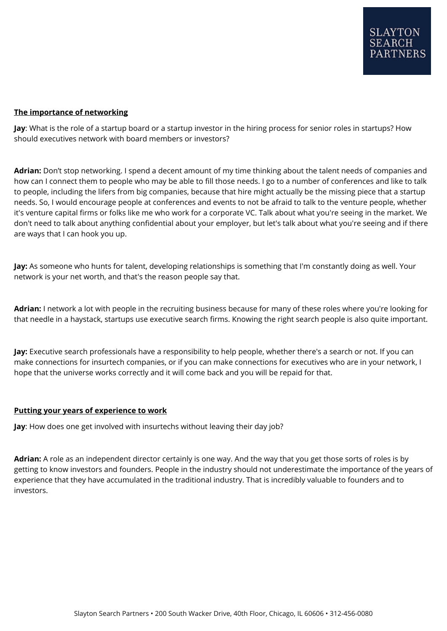## **The importance of networking**

**Jay**: What is the role of a startup board or a startup investor in the hiring process for senior roles in startups? How should executives network with board members or investors?

**Adrian:** Don't stop networking. I spend a decent amount of my time thinking about the talent needs of companies and how can I connect them to people who may be able to fill those needs. I go to a number of conferences and like to talk to people, including the lifers from big companies, because that hire might actually be the missing piece that a startup needs. So, I would encourage people at conferences and events to not be afraid to talk to the venture people, whether it's venture capital firms or folks like me who work for a corporate VC. Talk about what you're seeing in the market. We don't need to talk about anything confidential about your employer, but let's talk about what you're seeing and if there are ways that I can hook you up.

**Jay:** As someone who hunts for talent, developing relationships is something that I'm constantly doing as well. Your network is your net worth, and that's the reason people say that.

**Adrian:** I network a lot with people in the recruiting business because for many of these roles where you're looking for that needle in a haystack, startups use executive search firms. Knowing the right search people is also quite important.

**Jay:** Executive search professionals have a responsibility to help people, whether there's a search or not. If you can make connections for insurtech companies, or if you can make connections for executives who are in your network, I hope that the universe works correctly and it will come back and you will be repaid for that.

#### **Putting your years of experience to work**

**Jay**: How does one get involved with insurtechs without leaving their day job?

**Adrian:** A role as an independent director certainly is one way. And the way that you get those sorts of roles is by getting to know investors and founders. People in the industry should not underestimate the importance of the years of experience that they have accumulated in the traditional industry. That is incredibly valuable to founders and to investors.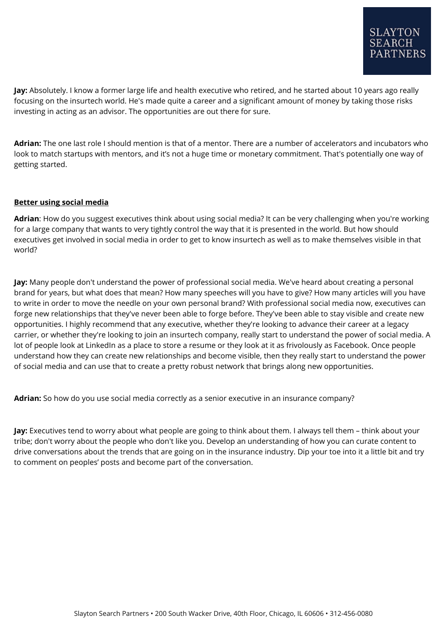**Jay:** Absolutely. I know a former large life and health executive who retired, and he started about 10 years ago really focusing on the insurtech world. He's made quite a career and a significant amount of money by taking those risks investing in acting as an advisor. The opportunities are out there for sure.

**Adrian:** The one last role I should mention is that of a mentor. There are a number of accelerators and incubators who look to match startups with mentors, and it's not a huge time or monetary commitment. That's potentially one way of getting started.

# **Better using social media**

**Adrian**: How do you suggest executives think about using social media? It can be very challenging when you're working for a large company that wants to very tightly control the way that it is presented in the world. But how should executives get involved in social media in order to get to know insurtech as well as to make themselves visible in that world?

**Jay:** Many people don't understand the power of professional social media. We've heard about creating a personal brand for years, but what does that mean? How many speeches will you have to give? How many articles will you have to write in order to move the needle on your own personal brand? With professional social media now, executives can forge new relationships that they've never been able to forge before. They've been able to stay visible and create new opportunities. I highly recommend that any executive, whether they're looking to advance their career at a legacy carrier, or whether they're looking to join an insurtech company, really start to understand the power of social media. A lot of people look at LinkedIn as a place to store a resume or they look at it as frivolously as Facebook. Once people understand how they can create new relationships and become visible, then they really start to understand the power of social media and can use that to create a pretty robust network that brings along new opportunities.

**Adrian:** So how do you use social media correctly as a senior executive in an insurance company?

**Jay:** Executives tend to worry about what people are going to think about them. I always tell them – think about your tribe; don't worry about the people who don't like you. Develop an understanding of how you can curate content to drive conversations about the trends that are going on in the insurance industry. Dip your toe into it a little bit and try to comment on peoples' posts and become part of the conversation.